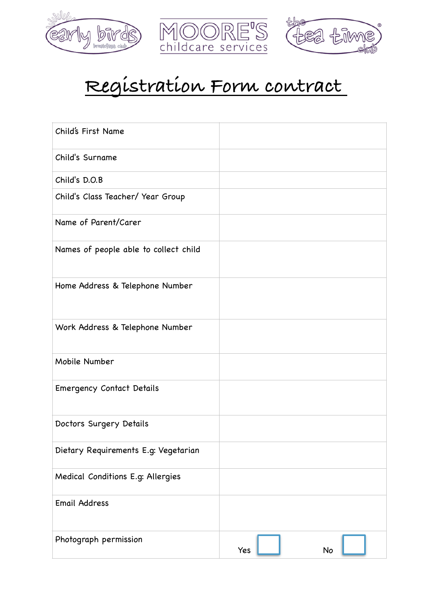





## **Registration Form contract**

| Child's First Name                    |           |
|---------------------------------------|-----------|
| Child's Surname                       |           |
| Child's D.O.B                         |           |
| Child's Class Teacher/ Year Group     |           |
| Name of Parent/Carer                  |           |
| Names of people able to collect child |           |
| Home Address & Telephone Number       |           |
| Work Address & Telephone Number       |           |
| Mobile Number                         |           |
| <b>Emergency Contact Details</b>      |           |
| Doctors Surgery Details               |           |
| Dietary Requirements E.g: Vegetarian  |           |
| Medical Conditions E.g: Allergies     |           |
| <b>Email Address</b>                  |           |
| Photograph permission                 | Yes<br>No |